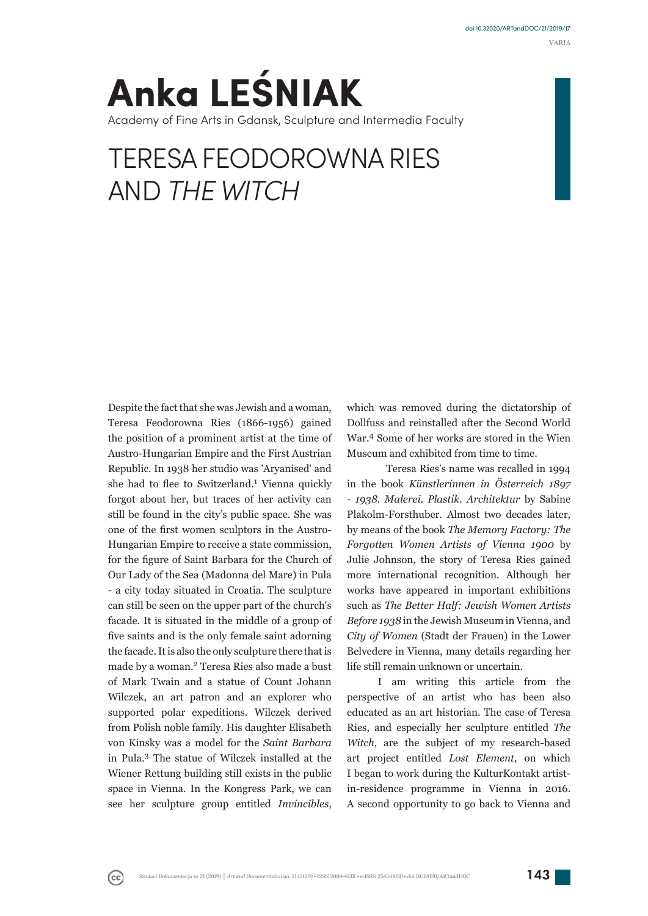VARIA

# **Anka LEŚNIAK** Academy of Fine Arts in Gdansk, Sculpture and Intermedia Faculty

# TERESA FEODOROWNA RIES AND *THE WITCH*

Despite the fact that she was Jewish and a woman, Teresa Feodorowna Ries (1866-1956) gained the position of a prominent artist at the time of Austro-Hungarian Empire and the First Austrian Republic. In 1938 her studio was 'Aryanised' and she had to flee to Switzerland.<sup>1</sup> Vienna quickly forgot about her, but traces of her activity can still be found in the city's public space. She was one of the first women sculptors in the Austro-Hungarian Empire to receive a state commission, for the figure of Saint Barbara for the Church of Our Lady of the Sea (Madonna del Mare) in Pula - a city today situated in Croatia. The sculpture can still be seen on the upper part of the church's facade. It is situated in the middle of a group of five saints and is the only female saint adorning the facade. It is also the only sculpture there that is made by a woman.<sup>2</sup> Teresa Ries also made a bust of Mark Twain and a statue of Count Johann Wilczek, an art patron and an explorer who supported polar expeditions. Wilczek derived from Polish noble family. His daughter Elisabeth von Kinsky was a model for the *Saint Barbara*  in Pula.<sup>3</sup> The statue of Wilczek installed at the Wiener Rettung building still exists in the public space in Vienna. In the Kongress Park, we can see her sculpture group entitled *Invincibles*,

 $_{\rm (cc)}$ 

which was removed during the dictatorship of Dollfuss and reinstalled after the Second World War.<sup>4</sup> Some of her works are stored in the Wien Museum and exhibited from time to time.

Teresa Ries's name was recalled in 1994 in the book *Künstlerinnen in Österreich 1897 - 1938. Malerei. Plastik. Architektur* by Sabine Plakolm-Forsthuber. Almost two decades later, by means of the book *The Memory Factory: The Forgotten Women Artists of Vienna 1900* by Julie Johnson, the story of Teresa Ries gained more international recognition. Although her works have appeared in important exhibitions such as *The Better Half: Jewish Women Artists Before 1938* in the Jewish Museum in Vienna, and *City of Women* (Stadt der Frauen) in the Lower Belvedere in Vienna, many details regarding her life still remain unknown or uncertain.

I am writing this article from the perspective of an artist who has been also educated as an art historian. The case of Teresa Ries, and especially her sculpture entitled *The Witch,* are the subject of my research-based art project entitled *Lost Element,* on which I began to work during the KulturKontakt artistin-residence programme in Vienna in 2016. A second opportunity to go back to Vienna and

*Sztuka i Dokumentacja nr 21 (2019) | Art and Documentation no. 21 (2019) • ISSN 2080-413X • e-ISSN 2545-0050 • doi:10.32020/ARTandDOC 143*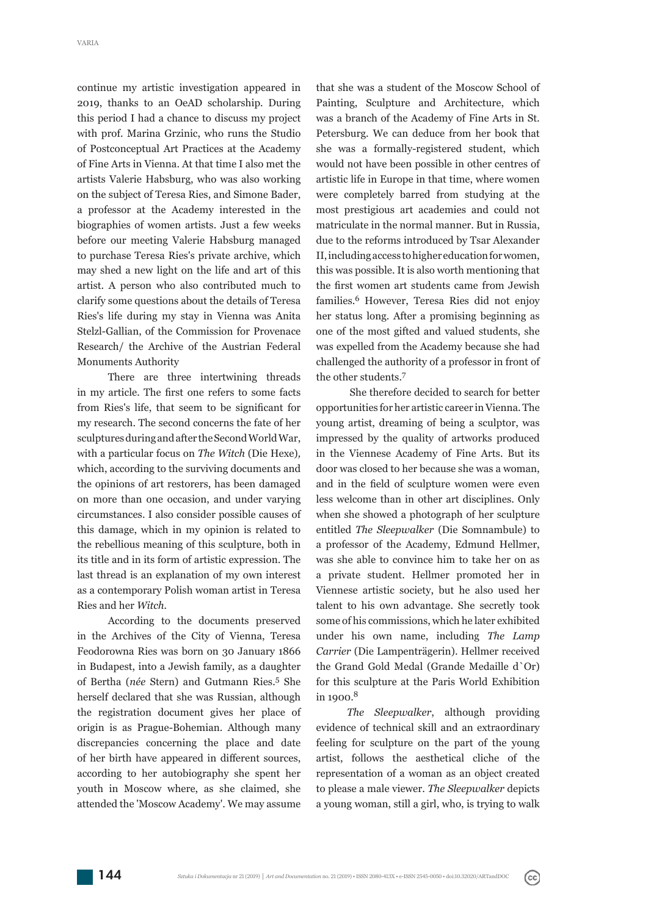continue my artistic investigation appeared in 2019, thanks to an OeAD scholarship. During this period I had a chance to discuss my project with prof. Marina Grzinic, who runs the Studio of Postconceptual Art Practices at the Academy of Fine Arts in Vienna. At that time I also met the artists Valerie Habsburg, who was also working on the subject of Teresa Ries, and Simone Bader, a professor at the Academy interested in the biographies of women artists. Just a few weeks before our meeting Valerie Habsburg managed to purchase Teresa Ries's private archive, which may shed a new light on the life and art of this artist. A person who also contributed much to clarify some questions about the details of Teresa Ries's life during my stay in Vienna was Anita Stelzl-Gallian, of the Commission for Provenace Research/ the Archive of the Austrian Federal Monuments Authority

There are three intertwining threads in my article. The first one refers to some facts from Ries's life, that seem to be significant for my research. The second concerns the fate of her sculptures during and after the Second World War, with a particular focus on *The Witch* (Die Hexe)*,* which, according to the surviving documents and the opinions of art restorers, has been damaged on more than one occasion, and under varying circumstances. I also consider possible causes of this damage, which in my opinion is related to the rebellious meaning of this sculpture, both in its title and in its form of artistic expression. The last thread is an explanation of my own interest as a contemporary Polish woman artist in Teresa Ries and her *Witch.*

According to the documents preserved in the Archives of the City of Vienna, Teresa Feodorowna Ries was born on 30 January 1866 in Budapest, into a Jewish family, as a daughter of Bertha (*née* Stern) and Gutmann Ries.5 She herself declared that she was Russian, although the registration document gives her place of origin is as Prague-Bohemian. Although many discrepancies concerning the place and date of her birth have appeared in different sources, according to her autobiography she spent her youth in Moscow where, as she claimed, she attended the 'Moscow Academy'. We may assume

that she was a student of the Moscow School of Painting, Sculpture and Architecture, which was a branch of the Academy of Fine Arts in St. Petersburg. We can deduce from her book that she was a formally-registered student, which would not have been possible in other centres of artistic life in Europe in that time, where women were completely barred from studying at the most prestigious art academies and could not matriculate in the normal manner. But in Russia, due to the reforms introduced by Tsar Alexander II, including access to higher education for women, this was possible. It is also worth mentioning that the first women art students came from Jewish families.6 However, Teresa Ries did not enjoy her status long. After a promising beginning as one of the most gifted and valued students, she was expelled from the Academy because she had challenged the authority of a professor in front of the other students.<sup>7</sup>

 She therefore decided to search for better opportunities for her artistic career in Vienna. The young artist, dreaming of being a sculptor, was impressed by the quality of artworks produced in the Viennese Academy of Fine Arts. But its door was closed to her because she was a woman, and in the field of sculpture women were even less welcome than in other art disciplines. Only when she showed a photograph of her sculpture entitled *The Sleepwalker* (Die Somnambule) to a professor of the Academy, Edmund Hellmer, was she able to convince him to take her on as a private student. Hellmer promoted her in Viennese artistic society, but he also used her talent to his own advantage. She secretly took some of his commissions, which he later exhibited under his own name, including *The Lamp*  Carrier (Die Lampenträgerin). Hellmer received the Grand Gold Medal (Grande Medaille d`Or) for this sculpture at the Paris World Exhibition in 1900.<sup>8</sup>

*The Sleepwalker*, although providing evidence of technical skill and an extraordinary feeling for sculpture on the part of the young artist, follows the aesthetical cliche of the representation of a woman as an object created to please a male viewer. *The Sleepwalker* depicts a young woman, still a girl, who, is trying to walk

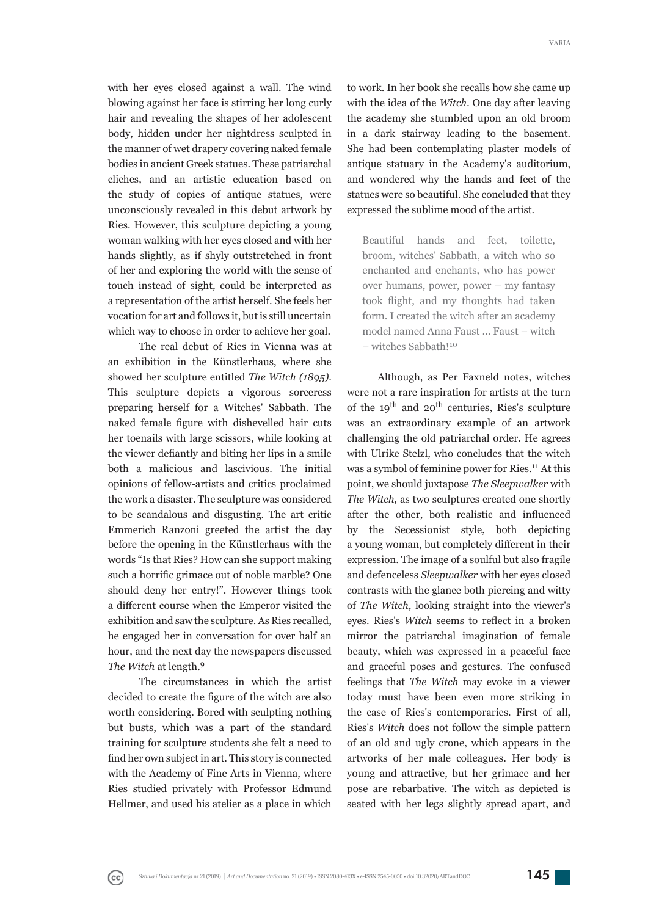with her eyes closed against a wall. The wind blowing against her face is stirring her long curly hair and revealing the shapes of her adolescent body, hidden under her nightdress sculpted in the manner of wet drapery covering naked female bodies in ancient Greek statues. These patriarchal cliches, and an artistic education based on the study of copies of antique statues, were unconsciously revealed in this debut artwork by Ries. However, this sculpture depicting a young woman walking with her eyes closed and with her hands slightly, as if shyly outstretched in front of her and exploring the world with the sense of touch instead of sight, could be interpreted as a representation of the artist herself. She feels her vocation for art and follows it, but is still uncertain which way to choose in order to achieve her goal.

The real debut of Ries in Vienna was at an exhibition in the Künstlerhaus, where she showed her sculpture entitled *The Witch (1895)*. This sculpture depicts a vigorous sorceress preparing herself for a Witches' Sabbath. The naked female figure with dishevelled hair cuts her toenails with large scissors, while looking at the viewer defiantly and biting her lips in a smile both a malicious and lascivious. The initial opinions of fellow-artists and critics proclaimed the work a disaster. The sculpture was considered to be scandalous and disgusting. The art critic Emmerich Ranzoni greeted the artist the day before the opening in the Künstlerhaus with the words "Is that Ries? How can she support making such a horrific grimace out of noble marble? One should deny her entry!". However things took a different course when the Emperor visited the exhibition and saw the sculpture. As Ries recalled, he engaged her in conversation for over half an hour, and the next day the newspapers discussed *The Witch* at length.<sup>9</sup>

The circumstances in which the artist decided to create the figure of the witch are also worth considering. Bored with sculpting nothing but busts, which was a part of the standard training for sculpture students she felt a need to find her own subject in art. This story is connected with the Academy of Fine Arts in Vienna, where Ries studied privately with Professor Edmund Hellmer, and used his atelier as a place in which

 $(cc)$ 

to work. In her book she recalls how she came up with the idea of the *Witch.* One day after leaving the academy she stumbled upon an old broom in a dark stairway leading to the basement. She had been contemplating plaster models of antique statuary in the Academy's auditorium, and wondered why the hands and feet of the statues were so beautiful. She concluded that they expressed the sublime mood of the artist.

Beautiful hands and feet, toilette, broom, witches' Sabbath, a witch who so enchanted and enchants, who has power over humans, power, power – my fantasy took flight, and my thoughts had taken form. I created the witch after an academy model named Anna Faust ... Faust – witch – witches Sabbath!<sup>10</sup>

Although, as Per Faxneld notes, witches were not a rare inspiration for artists at the turn of the  $19<sup>th</sup>$  and  $20<sup>th</sup>$  centuries, Ries's sculpture was an extraordinary example of an artwork challenging the old patriarchal order. He agrees with Ulrike Stelzl, who concludes that the witch was a symbol of feminine power for Ries.<sup>11</sup> At this point, we should juxtapose *The Sleepwalker* with *The Witch,* as two sculptures created one shortly after the other, both realistic and influenced by the Secessionist style, both depicting a young woman, but completely different in their expression. The image of a soulful but also fragile and defenceless *Sleepwalker* with her eyes closed contrasts with the glance both piercing and witty of *The Witch*, looking straight into the viewer's eyes. Ries's *Witch* seems to reflect in a broken mirror the patriarchal imagination of female beauty, which was expressed in a peaceful face and graceful poses and gestures. The confused feelings that *The Witch* may evoke in a viewer today must have been even more striking in the case of Ries's contemporaries. First of all, Ries's *Witch* does not follow the simple pattern of an old and ugly crone, which appears in the artworks of her male colleagues. Her body is young and attractive, but her grimace and her pose are rebarbative. The witch as depicted is seated with her legs slightly spread apart, and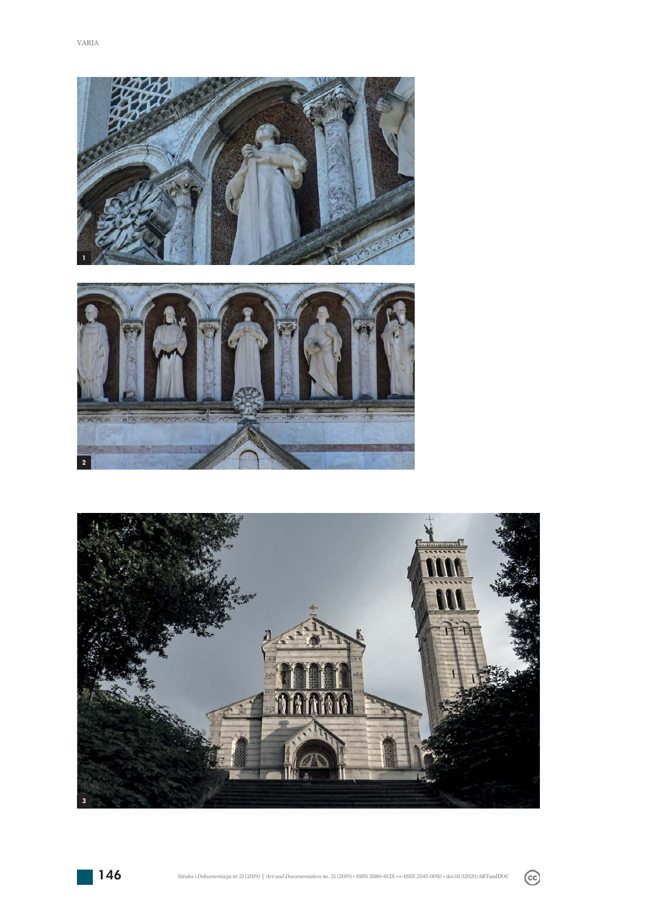



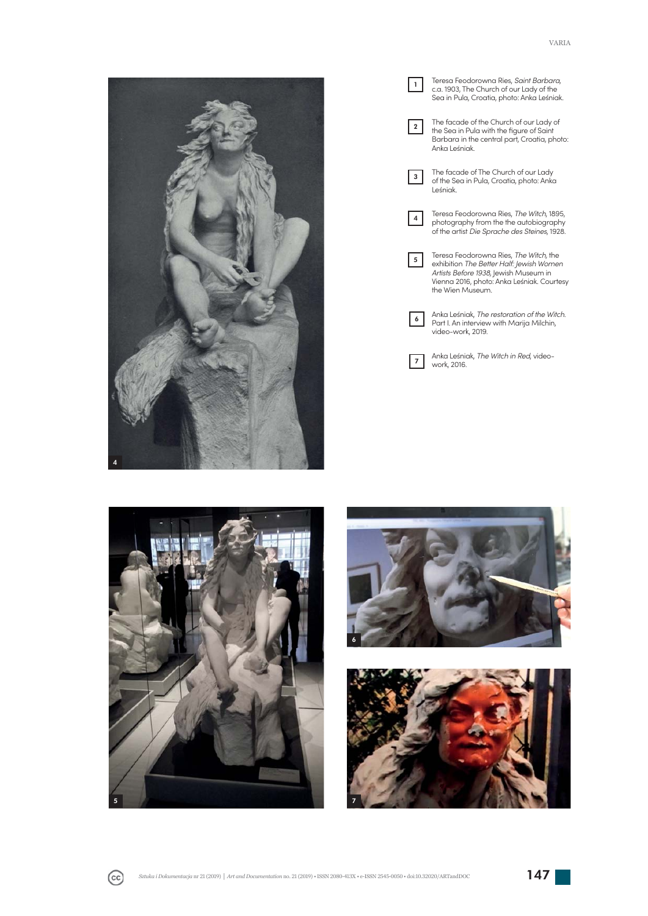

Teresa Feodorowna Ries, *Saint Barbara*, c.a. 1903, The Church of our Lady of the Sea in Pula, Croatia, photo: Anka Leśniak. The facade of the Church of our Lady of the Sea in Pula with the figure of Saint Barbara in the central part, Croatia, photo: Anka Leśniak. The facade of The Church of our Lady of the Sea in Pula, Croatia, photo: Anka Leśniak. Teresa Feodorowna Ries, *The Witch*, 1895, photography from the the autobiography of the artist *Die Sprache des Steines*, 1928. Teresa Feodorowna Ries, *The Witch,* the exhibition *The Better Half: Jewish Women Artists Before 1938,* Jewish Museum in Vienna 2016, photo: Anka Leśniak. Courtesy the Wien Museum. Anka Leśniak, *The restoration of the Witch*. Part I. An interview with Marija Milchin, video-work, 2019.  $\vert$  1  $\boxed{2}$  $\sqrt{3}$  $|4|$  $5$  $\overline{6}$ 

Anka Leśniak, *The Witch in Red*, videowork, 2016.  $\vert$  7





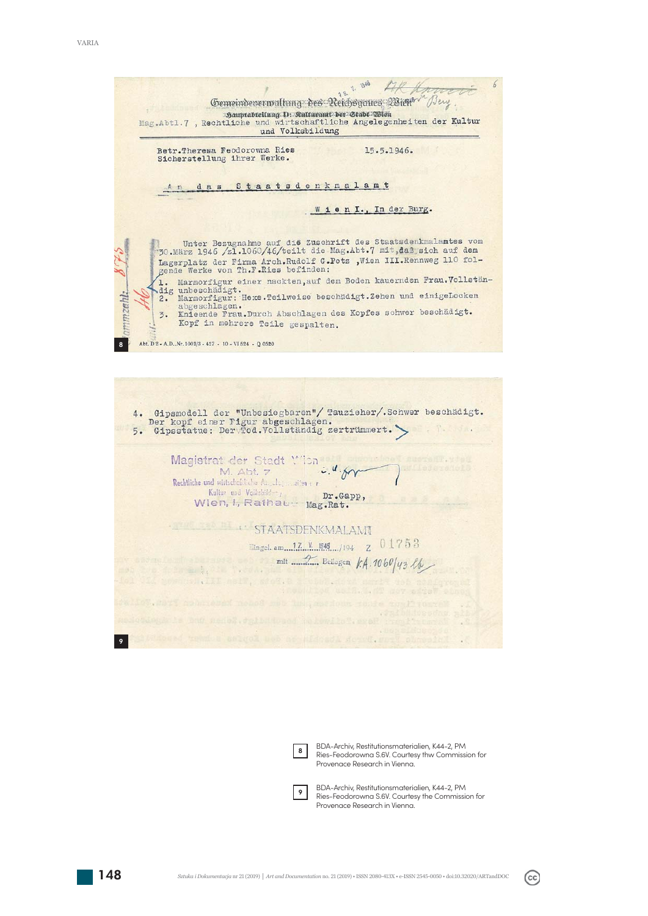



BDA-Archiv, Restitutionsmaterialien, K44-2, PM Ries-Feodorowna S.6V. Courtesy thw Commission for Provenace Research in Vienna.

 $\overline{9}$ 

BDA-Archiv, Restitutionsmaterialien, K44-2, PM Ries-Feodorowna S.6V. Courtesy the Commission for Provenace Research in Vienna.

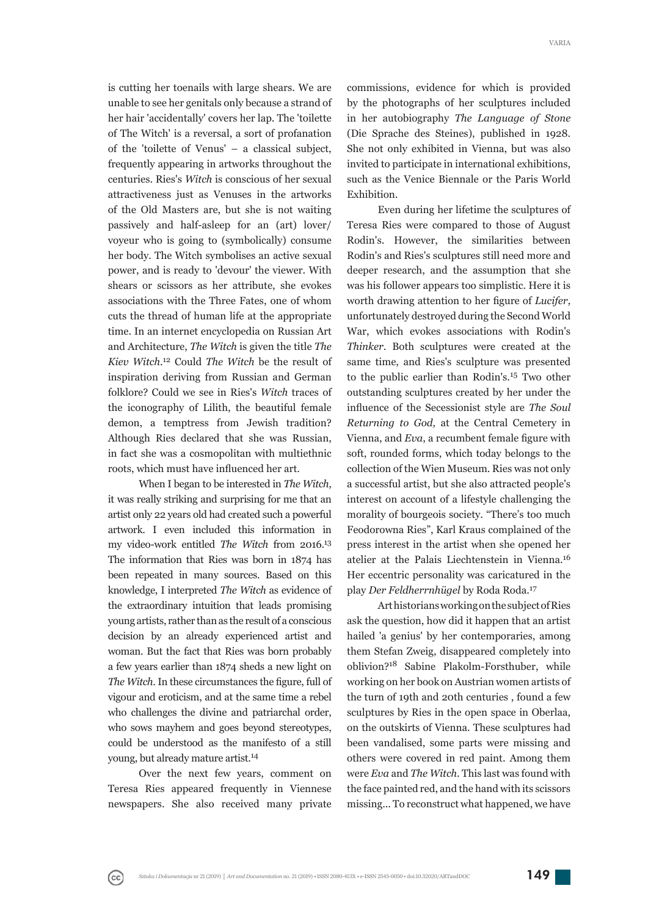is cutting her toenails with large shears. We are unable to see her genitals only because a strand of her hair 'accidentally' covers her lap. The 'toilette of The Witch' is a reversal, a sort of profanation of the 'toilette of Venus' – a classical subject, frequently appearing in artworks throughout the centuries. Ries's *Witch* is conscious of her sexual attractiveness just as Venuses in the artworks of the Old Masters are, but she is not waiting passively and half-asleep for an (art) lover/ voyeur who is going to (symbolically) consume her body. The Witch symbolises an active sexual power, and is ready to 'devour' the viewer. With shears or scissors as her attribute, she evokes associations with the Three Fates, one of whom cuts the thread of human life at the appropriate time. In an internet encyclopedia on Russian Art and Architecture, *The Witch* is given the title *The Kiev Witch*. 12 Could *The Witch* be the result of inspiration deriving from Russian and German folklore? Could we see in Ries's *Witch* traces of the iconography of Lilith, the beautiful female demon, a temptress from Jewish tradition? Although Ries declared that she was Russian, in fact she was a cosmopolitan with multiethnic roots, which must have influenced her art.

When I began to be interested in *The Witch*, it was really striking and surprising for me that an artist only 22 years old had created such a powerful artwork. I even included this information in my video-work entitled *The Witch* from 2016.<sup>13</sup> The information that Ries was born in 1874 has been repeated in many sources. Based on this knowledge, I interpreted *The Witch* as evidence of the extraordinary intuition that leads promising young artists, rather than as the result of a conscious decision by an already experienced artist and woman. But the fact that Ries was born probably a few years earlier than 1874 sheds a new light on The Witch. In these circumstances the figure, full of vigour and eroticism, and at the same time a rebel who challenges the divine and patriarchal order, who sows mayhem and goes beyond stereotypes, could be understood as the manifesto of a still young, but already mature artist.14

Over the next few years, comment on Teresa Ries appeared frequently in Viennese newspapers. She also received many private

 $_{\rm (cc)}$ 

commissions, evidence for which is provided by the photographs of her sculptures included in her autobiography *The Language of Stone* (Die Sprache des Steines), published in 1928. She not only exhibited in Vienna, but was also invited to participate in international exhibitions, such as the Venice Biennale or the Paris World Exhibition.

Even during her lifetime the sculptures of Teresa Ries were compared to those of August Rodin's. However, the similarities between Rodin's and Ries's sculptures still need more and deeper research, and the assumption that she was his follower appears too simplistic. Here it is worth drawing attention to her figure of *Lucifer*, unfortunately destroyed during the Second World War, which evokes associations with Rodin's *Thinker*. Both sculptures were created at the same time, and Ries's sculpture was presented to the public earlier than Rodin's.15 Two other outstanding sculptures created by her under the influence of the Secessionist style are The Soul *Returning to God,* at the Central Cemetery in Vienna, and *Eva*, a recumbent female figure with soft, rounded forms, which today belongs to the collection of the Wien Museum. Ries was not only a successful artist, but she also attracted people's interest on account of a lifestyle challenging the morality of bourgeois society. "There's too much Feodorowna Ries", Karl Kraus complained of the press interest in the artist when she opened her atelier at the Palais Liechtenstein in Vienna.<sup>16</sup> Her eccentric personality was caricatured in the play *Der Feldherrnhügel* by Roda Roda.<sup>17</sup>

Art historians working on the subject of Ries ask the question, how did it happen that an artist hailed 'a genius' by her contemporaries, among them Stefan Zweig, disappeared completely into oblivion?<sup>18</sup> Sabine Plakolm-Forsthuber, while working on her book on Austrian women artists of the turn of 19th and 20th centuries, found a few sculptures by Ries in the open space in Oberlaa, on the outskirts of Vienna. These sculptures had been vandalised, some parts were missing and others were covered in red paint. Among them were *Eva* and *The Witch*. This last was found with the face painted red, and the hand with its scissors missing... To reconstruct what happened, we have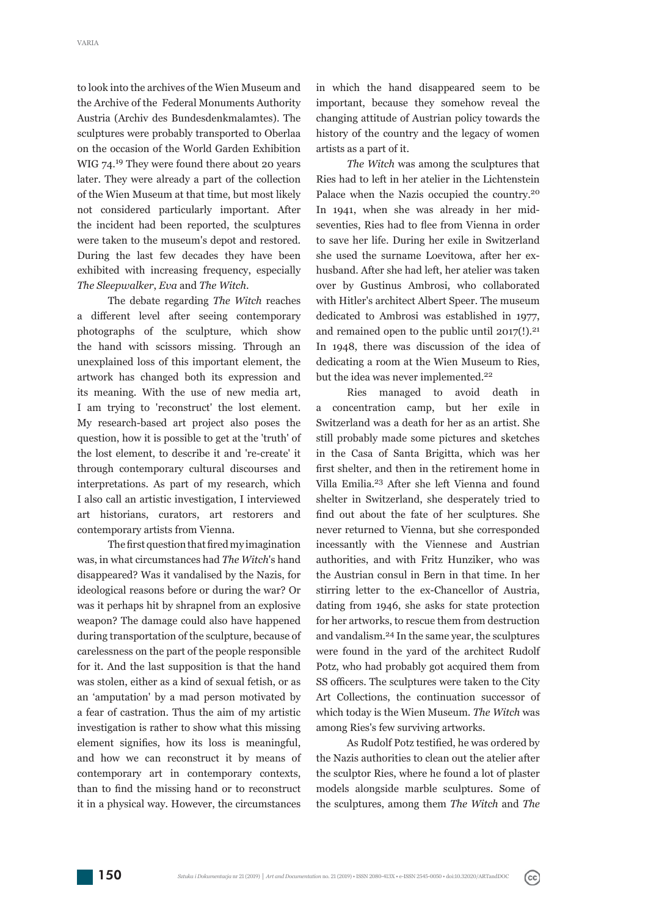to look into the archives of the Wien Museum and the Archive of the Federal Monuments Authority Austria (Archiv des Bundesdenkmalamtes). The sculptures were probably transported to Oberlaa on the occasion of the World Garden Exhibition WIG  $74.<sup>19</sup>$  They were found there about 20 years later. They were already a part of the collection of the Wien Museum at that time, but most likely not considered particularly important. After the incident had been reported, the sculptures were taken to the museum's depot and restored. During the last few decades they have been exhibited with increasing frequency, especially *The Sleepwalker*, *Eva* and *The Witch*.

The debate regarding *The Witch* reaches a different level after seeing contemporary photographs of the sculpture, which show the hand with scissors missing. Through an unexplained loss of this important element, the artwork has changed both its expression and its meaning. With the use of new media art, I am trying to 'reconstruct' the lost element. My research-based art project also poses the question, how it is possible to get at the 'truth' of the lost element, to describe it and 're-create' it through contemporary cultural discourses and interpretations. As part of my research, which I also call an artistic investigation, I interviewed art historians, curators, art restorers and contemporary artists from Vienna.

The first question that fired my imagination was, in what circumstances had *The Witch*'s hand disappeared? Was it vandalised by the Nazis, for ideological reasons before or during the war? Or was it perhaps hit by shrapnel from an explosive weapon? The damage could also have happened during transportation of the sculpture, because of carelessness on the part of the people responsible for it. And the last supposition is that the hand was stolen, either as a kind of sexual fetish, or as an 'amputation' by a mad person motivated by a fear of castration. Thus the aim of my artistic investigation is rather to show what this missing element signifies, how its loss is meaningful, and how we can reconstruct it by means of contemporary art in contemporary contexts, than to find the missing hand or to reconstruct it in a physical way. However, the circumstances

in which the hand disappeared seem to be important, because they somehow reveal the changing attitude of Austrian policy towards the history of the country and the legacy of women artists as a part of it.

*The Witch* was among the sculptures that Ries had to left in her atelier in the Lichtenstein Palace when the Nazis occupied the country.<sup>20</sup> In 1941, when she was already in her midseventies, Ries had to flee from Vienna in order to save her life. During her exile in Switzerland she used the surname Loevitowa, after her exhusband. After she had left, her atelier was taken over by Gustinus Ambrosi, who collaborated with Hitler's architect Albert Speer. The museum dedicated to Ambrosi was established in 1977, and remained open to the public until  $2017(!)$ .<sup>21</sup> In 1948, there was discussion of the idea of dedicating a room at the Wien Museum to Ries, but the idea was never implemented.<sup>22</sup>

Ries managed to avoid death in a concentration camp, but her exile in Switzerland was a death for her as an artist. She still probably made some pictures and sketches in the Casa of Santa Brigitta, which was her first shelter, and then in the retirement home in Villa Emilia.23 After she left Vienna and found shelter in Switzerland, she desperately tried to find out about the fate of her sculptures. She never returned to Vienna, but she corresponded incessantly with the Viennese and Austrian authorities, and with Fritz Hunziker, who was the Austrian consul in Bern in that time. In her stirring letter to the ex-Chancellor of Austria, dating from 1946, she asks for state protection for her artworks, to rescue them from destruction and vandalism.<sup>24</sup> In the same year, the sculptures were found in the yard of the architect Rudolf Potz, who had probably got acquired them from SS officers. The sculptures were taken to the City Art Collections, the continuation successor of which today is the Wien Museum. *The Witch* was among Ries's few surviving artworks.

As Rudolf Potz testified, he was ordered by the Nazis authorities to clean out the atelier after the sculptor Ries, where he found a lot of plaster models alongside marble sculptures. Some of the sculptures, among them *The Witch* and *The* 

 $(cc)$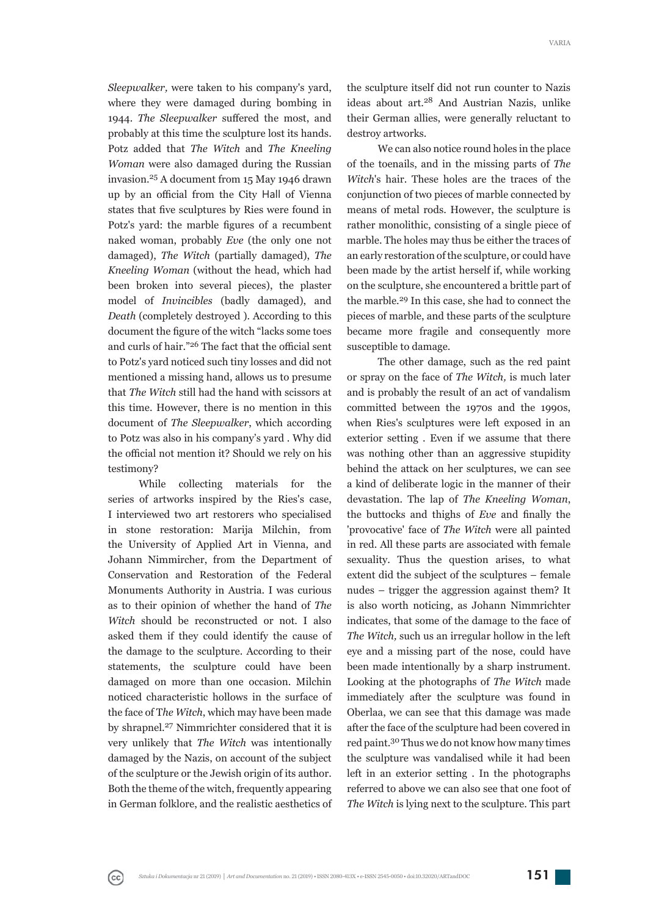*Sleepwalker,* were taken to his company's yard, where they were damaged during bombing in 1944. *The Sleepwalker* suffered the most, and probably at this time the sculpture lost its hands. Potz added that *The Witch* and *The Kneeling Woman* were also damaged during the Russian invasion.25 A document from 15 May 1946 drawn up by an official from the City Hall of Vienna states that five sculptures by Ries were found in Potz's yard: the marble figures of a recumbent naked woman, probably *Eve* (the only one not damaged), *The Witch* (partially damaged), *The Kneeling Woman* (without the head, which had been broken into several pieces), the plaster model of *Invincibles* (badly damaged), and *Death* (completely destroyed ). According to this document the figure of the witch "lacks some toes and curls of hair."<sup>26</sup> The fact that the official sent to Potz's yard noticed such tiny losses and did not mentioned a missing hand, allows us to presume that *The Witch* still had the hand with scissors at this time. However, there is no mention in this document of *The Sleepwalker*, which according to Potz was also in his company's yard . Why did the official not mention it? Should we rely on his testimony?

While collecting materials for the series of artworks inspired by the Ries's case, I interviewed two art restorers who specialised in stone restoration: Marija Milchin, from the University of Applied Art in Vienna, and Johann Nimmircher, from the Department of Conservation and Restoration of the Federal Monuments Authority in Austria. I was curious as to their opinion of whether the hand of *The Witch* should be reconstructed or not. I also asked them if they could identify the cause of the damage to the sculpture. According to their statements, the sculpture could have been damaged on more than one occasion. Milchin noticed characteristic hollows in the surface of the face of T*he Witch*, which may have been made by shrapnel.<sup>27</sup> Nimmrichter considered that it is very unlikely that *The Witch* was intentionally damaged by the Nazis, on account of the subject of the sculpture or the Jewish origin of its author. Both the theme of the witch, frequently appearing in German folklore, and the realistic aesthetics of

 $_{\rm (cc)}$ 

the sculpture itself did not run counter to Nazis ideas about art.<sup>28</sup> And Austrian Nazis, unlike their German allies, were generally reluctant to destroy artworks.

We can also notice round holes in the place of the toenails, and in the missing parts of *The Witch's* hair. These holes are the traces of the conjunction of two pieces of marble connected by means of metal rods. However, the sculpture is rather monolithic, consisting of a single piece of marble. The holes may thus be either the traces of an early restoration of the sculpture, or could have been made by the artist herself if, while working on the sculpture, she encountered a brittle part of the marble.<sup>29</sup> In this case, she had to connect the pieces of marble, and these parts of the sculpture became more fragile and consequently more susceptible to damage.

The other damage, such as the red paint or spray on the face of *The Witch*, is much later and is probably the result of an act of vandalism committed between the 1970s and the 1990s, when Ries's sculptures were left exposed in an exterior setting . Even if we assume that there was nothing other than an aggressive stupidity behind the attack on her sculptures, we can see a kind of deliberate logic in the manner of their devastation. The lap of *The Kneeling Woman*, the buttocks and thighs of *Eve* and finally the 'provocative' face of *The Witch* were all painted in red. All these parts are associated with female sexuality. Thus the question arises, to what extent did the subject of the sculptures – female nudes – trigger the aggression against them? It is also worth noticing, as Johann Nimmrichter indicates, that some of the damage to the face of The Witch, such us an irregular hollow in the left eye and a missing part of the nose, could have been made intentionally by a sharp instrument. Looking at the photographs of *The Witch* made immediately after the sculpture was found in Oberlaa, we can see that this damage was made after the face of the sculpture had been covered in red paint. 30 Thus we do not know how many times the sculpture was vandalised while it had been left in an exterior setting. In the photographs referred to above we can also see that one foot of *The Witch* is lying next to the sculpture. This part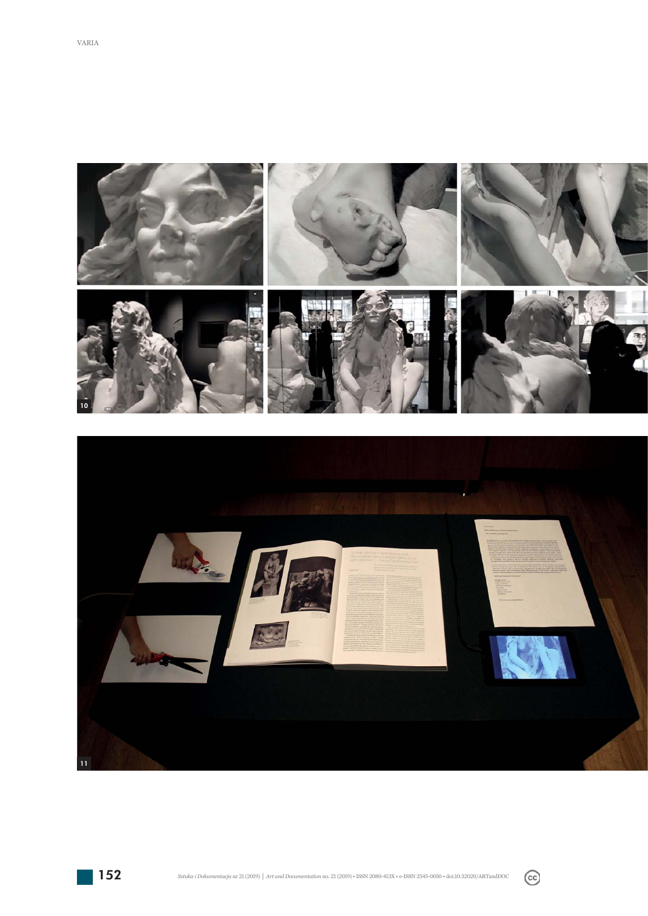



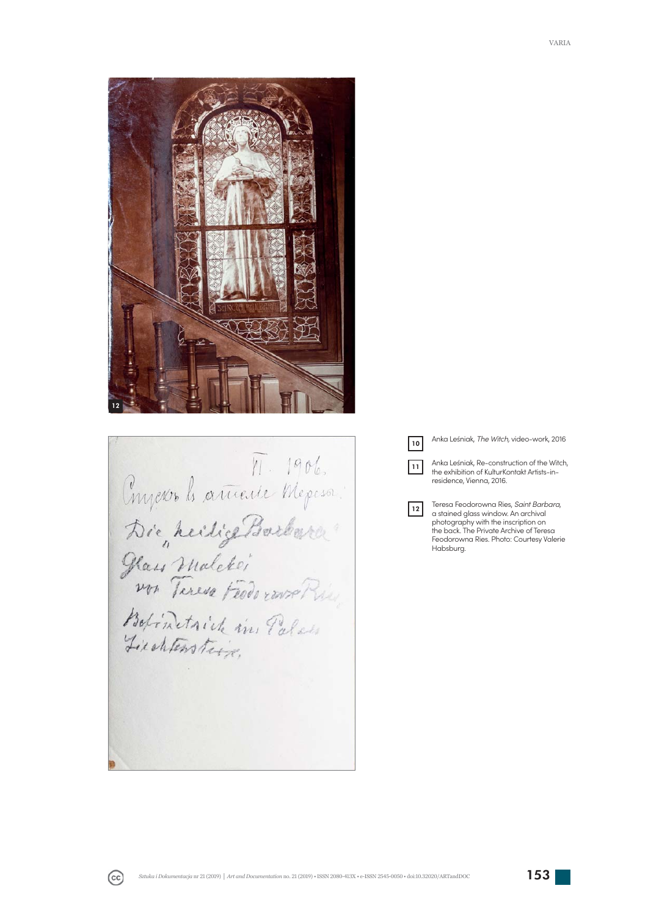

Proponds article de Mepeson Die heilig Barbara Hais malcher<br>von Turesa Federave Rie Liechtenstein.

 $\sqrt{10}$ 

 $|11|$ 

 $\boxed{12}$ 

Anka Leśniak, *The Witch,* video-work, 2016

Anka Leśniak, Re-construction of the Witch, the exhibition of KulturKontakt Artists-inresidence, Vienna, 2016.

Teresa Feodorowna Ries, *Saint Barbara*, a stained glass window. An archival photography with the inscription on the back. The Private Archive of Teresa Feodorowna Ries. Photo: Courtesy Valerie Habsburg.

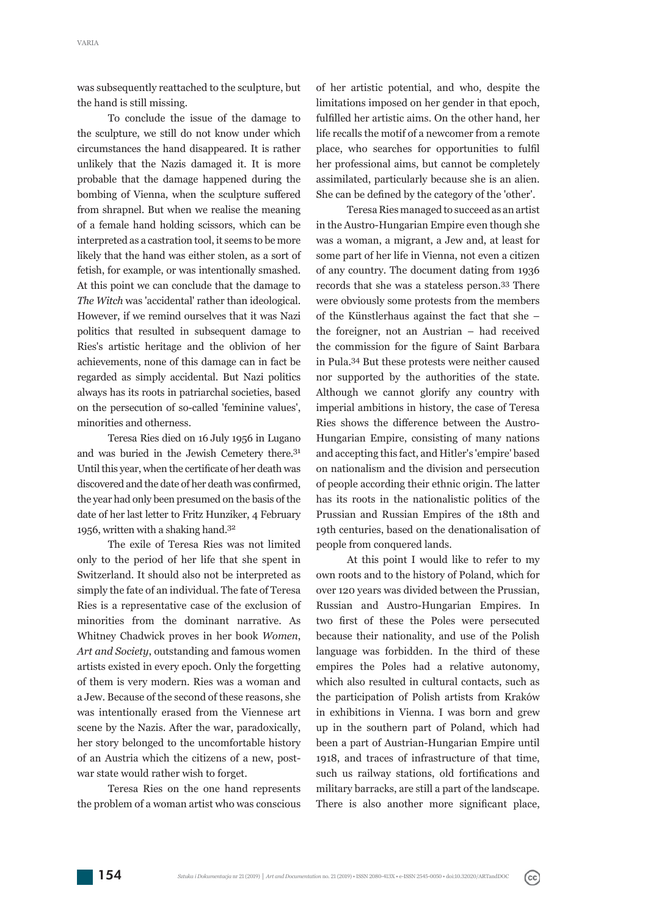was subsequently reattached to the sculpture, but the hand is still missing.

To conclude the issue of the damage to the sculpture, we still do not know under which circumstances the hand disappeared. It is rather unlikely that the Nazis damaged it. It is more probable that the damage happened during the bombing of Vienna, when the sculpture suffered from shrapnel. But when we realise the meaning of a female hand holding scissors, which can be interpreted as a castration tool, it seems to be more likely that the hand was either stolen, as a sort of fetish, for example, or was intentionally smashed. At this point we can conclude that the damage to The Witch was 'accidental' rather than ideological. However, if we remind ourselves that it was Nazi politics that resulted in subsequent damage to Ries's artistic heritage and the oblivion of her achievements, none of this damage can in fact be regarded as simply accidental. But Nazi politics always has its roots in patriarchal societies, based on the persecution of so-called 'feminine values', minorities and otherness.

Teresa Ries died on 16 July 1956 in Lugano and was buried in the Jewish Cemetery there.31 Until this year, when the certificate of her death was discovered and the date of her death was confirmed, the year had only been presumed on the basis of the date of her last letter to Fritz Hunziker, 4 February 1956, written with a shaking hand.32

The exile of Teresa Ries was not limited only to the period of her life that she spent in Switzerland. It should also not be interpreted as simply the fate of an individual. The fate of Teresa Ries is a representative case of the exclusion of minorities from the dominant narrative. As Whitney Chadwick proves in her book *Women*, *Art and Society*, outstanding and famous women artists existed in every epoch. Only the forgetting of them is very modern. Ries was a woman and a Jew. Because of the second of these reasons, she was intentionally erased from the Viennese art scene by the Nazis. After the war, paradoxically, her story belonged to the uncomfortable history of an Austria which the citizens of a new, postwar state would rather wish to forget.

Teresa Ries on the one hand represents the problem of a woman artist who was conscious

of her artistic potential, and who, despite the limitations imposed on her gender in that epoch, ful filled her artistic aims. On the other hand, her life recalls the motif of a newcomer from a remote place, who searches for opportunities to fulfil her professional aims, but cannot be completely assimilated, particularly because she is an alien. She can be defined by the category of the 'other'.

Teresa Ries managed to succeed as an artist in the Austro-Hungarian Empire even though she was a woman, a migrant, a Jew and, at least for some part of her life in Vienna, not even a citizen of any country. The document dating from 1936 records that she was a stateless person.<sup>33</sup> There were obviously some protests from the members of the Künstlerhaus against the fact that she $$ the foreigner, not an Austrian – had received the commission for the figure of Saint Barbara in Pula.34 But these protests were neither caused nor supported by the authorities of the state. Although we cannot glorify any country with imperial ambitions in history, the case of Teresa Ries shows the difference between the Austro-Hungarian Empire, consisting of many nations and accepting this fact, and Hitler's 'empire' based on nationalism and the division and persecution of people according their ethnic origin. The latter has its roots in the nationalistic politics of the Prussian and Russian Empires of the 18th and 19th centuries, based on the denationalisation of people from conquered lands.

At this point I would like to refer to my own roots and to the history of Poland, which for over 120 years was divided between the Prussian, Russian and Austro-Hungarian Empires. In two first of these the Poles were persecuted b ecause their nationality, and use of the Polish language was forbidden. In the third of these empires the Poles had a relative autonomy, which also resulted in cultural contacts, such as the participation of Polish artists from Kraków in exhibitions in Vienna. I was born and grew up in the southern part of Poland, which had been a part of Austrian-Hungarian Empire until 1918, and traces of infrastructure of that time, such us railway stations, old fortifications and military barracks, are still a part of the landscape. There is also another more significant place,

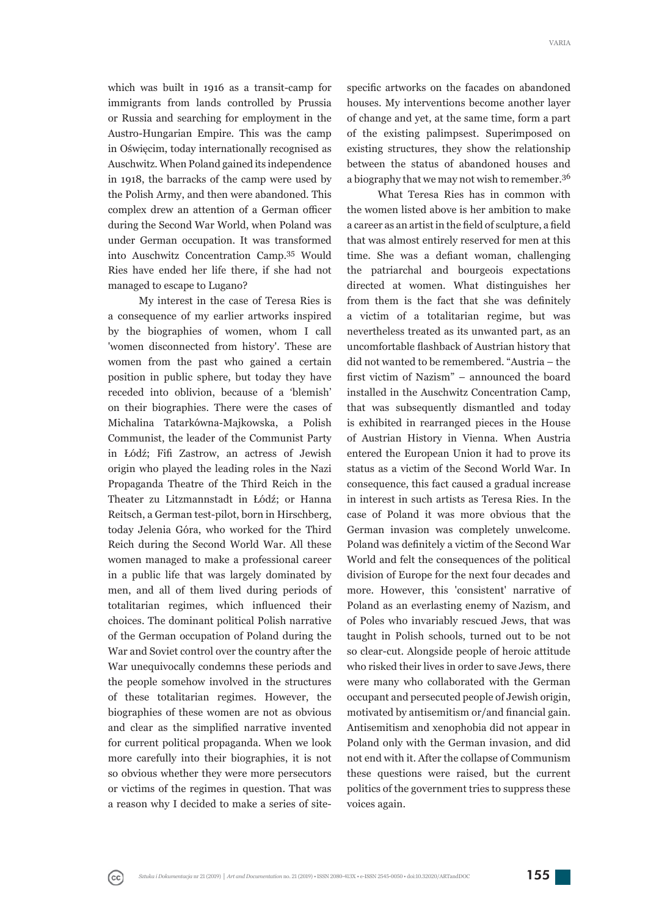which was built in 1916 as a transit-camp for immigrants from lands controlled by Prussia or Russia and searching for employment in the Austro-Hungarian Empire. This was the camp in Oświęcim, today internationally recognised as Auschwitz. When Poland gained its independence in 1918, the barracks of the camp were used by the Polish Army, and then were abandoned. This complex drew an attention of a German officer during the Second War World, when Poland was under German occupation. It was transformed into Auschwitz Concentration Camp.35 Would Ries have ended her life there, if she had not managed to escape to Lugano?

My interest in the case of Teresa Ries is a consequence of my earlier artworks inspired by the biographies of women, whom I call 'women disconnected from history'. These are women from the past who gained a certain position in public sphere, but today they have receded into oblivion, because of a 'blemish' on their biographies. There were the cases of Michalina Tatarkówna-Majkowska, a Polish Communist, the leader of the Communist Party in Łódź; Fifi Zastrow, an actress of Jewish origin who played the leading roles in the Nazi Propaganda Theatre of the Third Reich in the Theater zu Litzmannstadt in Łódź; or Hanna Reitsch, a German test-pilot, born in Hirschberg, today Jelenia Góra, who worked for the Third Reich during the Second World War. All these women managed to make a professional career in a public life that was largely dominated by men, and all of them lived during periods of totalitarian regimes, which influenced their choices. The dominant political Polish narrative of the German occupation of Poland during the War and Soviet control over the country after the War unequivocally condemns these periods and the people somehow involved in the structures of these totalitarian regimes. However, the biographies of these women are not as obvious and clear as the simplified narrative invented for current political propaganda. When we look more carefully into their biographies, it is not so obvious whether they were more persecutors or victims of the regimes in question. That was a reason why I decided to make a series of site-

specific artworks on the facades on abandoned houses. My interventions become another layer of change and yet, at the same time, form a part of the existing palimpsest. Superimposed on existing structures, they show the relationship between the status of abandoned houses and a biography that we may not wish to remember.<sup>36</sup>

What Teresa Ries has in common with the women listed above is her ambition to make a career as an artist in the field of sculpture, a field that was almost entirely reserved for men at this time. She was a defiant woman, challenging the patriarchal and bourgeois expectations directed at women. What distinguishes her from them is the fact that she was definitely a victim of a totalitarian regime, but was nevertheless treated as its unwanted part, as an uncomfortable flashback of Austrian history that did not wanted to be remembered. "Austria - the first victim of Nazism" – announced the board installed in the Auschwitz Concentration Camp, that was subsequently dismantled and today is exhibited in rearranged pieces in the House of Austrian History in Vienna. When Austria en tered the European Union it had to prove its status as a victim of the Second World War. In consequence, this fact caused a gradual increase in interest in such artists as Teresa Ries. In the case of Poland it was more obvious that the German invasion was completely unwelcome. Poland was definitely a victim of the Second War World and felt the consequences of the political division of Europe for the next four decades and more. However, this 'consistent' narrative of Poland as an everlasting enemy of Nazism, and of Poles who invariably rescued Jews, that was taught in Polish schools, turned out to be not so clear-cut. Alongside people of heroic attitude who risked their lives in order to save Jews, there were many who collaborated with the German occupant and persecuted people of Jewish origin, motivated by antisemitism or/and financial gain. Antisemitism and xenophobia did not appear in Poland only with the German invasion, and did not end with it. After the collapse of Communism these questions were raised, but the current politics of the government tries to suppress these voices again.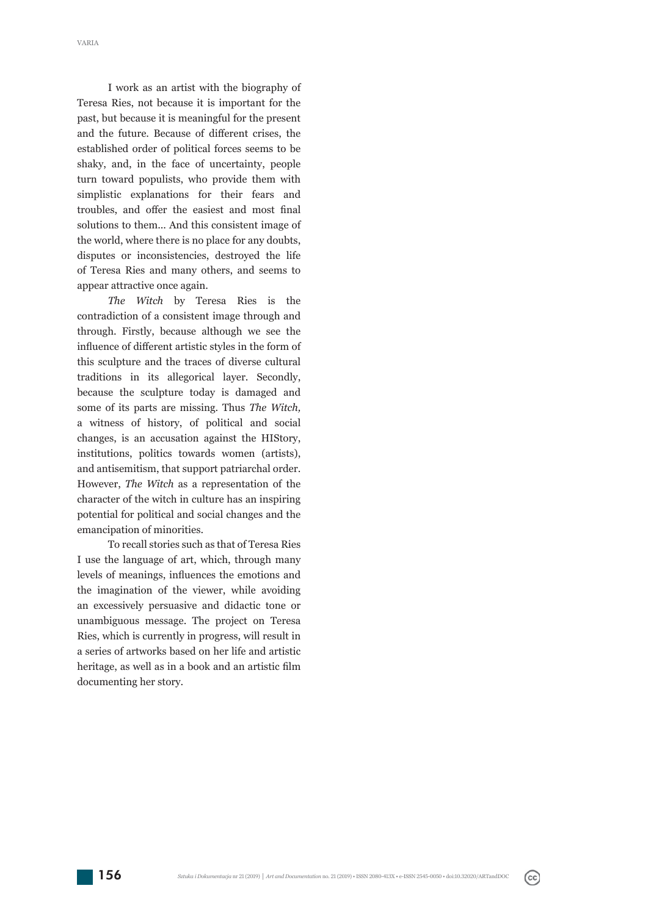I work as an artist with the biography of Teresa Ries, not because it is important for the past, but because it is meaningful for the present and the future. Because of different crises, the established order of political forces seems to be shaky, and, in the face of uncertainty, people turn toward populists, who provide them with simplistic explanations for their fears and troubles, and offer the easiest and most final solutions to them... And this consistent image of the world, where there is no place for any doubts, disputes or inconsistencies, destroyed the life of Teresa Ries and many others, and seems to appear attractive once again.

*The Witch* by Teresa Ries is the contradiction of a consistent image through and through. Firstly, because although we see the influence of different artistic styles in the form of this sculpture and the traces of diverse cultural traditions in its allegorical layer. Secondly, because the sculpture today is damaged and some of its parts are missing. Thus *The Witch,*  a witness of history, of political and social changes, is an accusation against the HIStory, institutions, politics towards women (artists), and antisemitism, that support patriarchal order. However, *The Witch* as a representation of the character of the witch in culture has an inspiring potential for political and social changes and the emancipation of minorities.

To recall stories such as that of Teresa Ries I use the language of art, which, through many levels of meanings, influences the emotions and the imagination of the viewer, while avoiding an excessively persuasive and didactic tone or unambiguous message. The project on Teresa Ries, which is currently in progress, will result in a series of artworks based on her life and artistic heritage, as well as in a book and an artistic film documenting her story.

 $(cc)$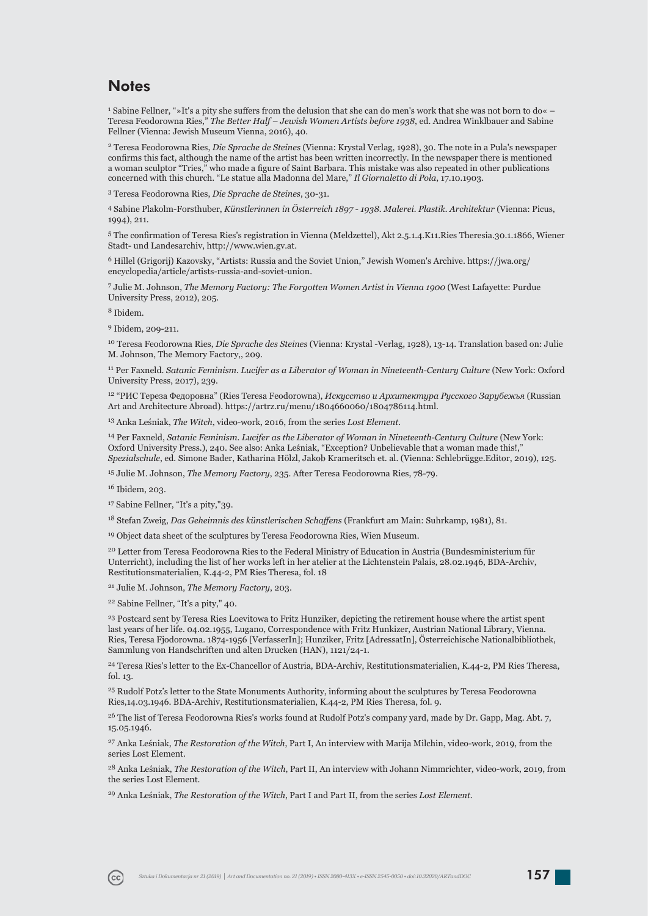### **Notes**

<sup>1</sup> Sabine Fellner, "»It's a pity she suffers from the delusion that she can do men's work that she was not born to do«  $-$ Teresa Feodorowna Ries," *The Better Half – Jewish Women Artists before 1938*, ed. Andrea Winklbauer and Sabine Fellner (Vienna: Jewish Museum Vienna, 2016), 40.

2 Teresa Feodorowna Ries, *Die Sprache de Steines* (Vienna: Krystal Verlag, 1928), 30. The note in a Pula's newspaper confirms this fact, although the name of the artist has been written incorrectly. In the newspaper there is mentioned a woman sculptor "Tries," who made a figure of Saint Barbara. This mistake was also repeated in other publications concerned with this church. "Le statue alla Madonna del Mare," *Il Giornaletto di Pola*, 17.10.1903.

3 Teresa Feodorowna Ries, *Die Sprache de Steines*, 30-31.

4 Sabine Plakolm-Forsthuber, *Künstlerinnen in Österreich 1897 - 1938. Malerei. Plastik. Architektur* (Vienna: Picus, 1994), 211.

5 The confi rmation of Teresa Ries's registration in Vienna (Meldzettel), Akt 2.5.1.4.K11.Ries Theresia.30.1.1866, Wiener Stadt- und Landesarchiv, http://www.wien.gv.at.

6 Hillel (Grigorij) Kazovsky, "Artists: Russia and the Soviet Union," Jewish Women's Archive. https://jwa.org/ encyclopedia/article/artists-russia-and-soviet-union.

7 Julie M. Johnson, *The Memory Factory: The Forgotten Women Artist in Vienna 1900* (West Lafayette: Purdue University Press, 2012), 205.

8 Ibidem.

9 Ibidem, 209-211.

10 Teresa Feodorowna Ries, *Die Sprache des Steines* (Vienna: Krystal -Verlag, 1928), 13-14. Translation based on: Julie M. Johnson, The Memory Factory,, 209.

<sup>11</sup> Per Faxneld. *Satanic Feminism. Lucifer as a Liberator of Woman in Nineteenth-Century Culture* (New York: Oxford University Press, 2017), 239.

12 "РИС Тереза Федоровна" (Ries Teresa Feodorowna), *Искусство и Архитектура Русского Зарубежья* (Russian Art and Architecture Abroad). https://artrz.ru/menu/1804660060/1804786114.html.

13 Anka Leśniak, *The Witch*, video-work, 2016, from the series *Lost Element*.

14 Per Faxneld, *Satanic Feminism. Lucifer as the Liberator of Woman in Nineteenth-Century Culture* (New York: Oxford University Press.), 240. See also: Anka Leśniak, "Exception? Unbelievable that a woman made this!," *Spezialschule*, ed. Simone Bader, Katharina Hölzl, Jakob Krameritsch et. al. (Vienna: Schlebrügge.Editor, 2019), 125.

15 Julie M. Johnson, *The Memory Factory*, 235. After Teresa Feodorowna Ries, 78-79.

16 Ibidem, 203.

17 Sabine Fellner, "It's a pity,"39.

<sup>18</sup> Stefan Zweig, *Das Geheimnis des künstlerischen Schaffens* (Frankfurt am Main: Suhrkamp, 1981), 81.

<sup>19</sup> Object data sheet of the sculptures by Teresa Feodorowna Ries, Wien Museum.

20 Letter from Teresa Feodorowna Ries to the Federal Ministry of Education in Austria (Bundesministerium für Unterricht), including the list of her works left in her atelier at the Lichtenstein Palais, 28.02.1946, BDA-Archiv, Restitutionsmaterialien, K.44-2, PM Ries Theresa, fol. 18

21 Julie M. Johnson, *The Memory Factory*, 203.

22 Sabine Fellner, "It's a pity," 40.

<sup>23</sup> Postcard sent by Teresa Ries Loevitowa to Fritz Hunziker, depicting the retirement house where the artist spent last years of her life. 04.02.1955, Lugano, Correspondence with Fritz Hunkizer, Austrian National Library, Vienna. Ries, Teresa Fjodorowna. 1874-1956 [VerfasserIn]; Hunziker, Fritz [AdressatIn], Österreichische Nationalbibliothek, Sammlung von Handschriften und alten Drucken (HAN), 1121/24-1.

24 Teresa Ries's letter to the Ex-Chancellor of Austria, BDA-Archiv, Restitutionsmaterialien, K.44-2, PM Ries Theresa, fol. 13.

25 Rudolf Potz's letter to the State Monuments Authority, informing about the sculptures by Teresa Feodorowna Ries,14.03.1946. BDA-Archiv, Restitutionsmaterialien, K.44-2, PM Ries Theresa, fol. 9.

<sup>26</sup> The list of Teresa Feodorowna Ries's works found at Rudolf Potz's company yard, made by Dr. Gapp, Mag. Abt. 7, 15.05.1946.

27 Anka Leśniak, *The Restoration of the Witch*, Part I, An interview with Marija Milchin, video-work, 2019, from the series Lost Element.

28 Anka Leśniak, *The Restoration of the Witch*, Part II, An interview with Johann Nimmrichter, video-work, 2019, from the series Lost Element.

29 Anka Leśniak, *The Restoration of the Witch*, Part I and Part II, from the series *Lost Element*.